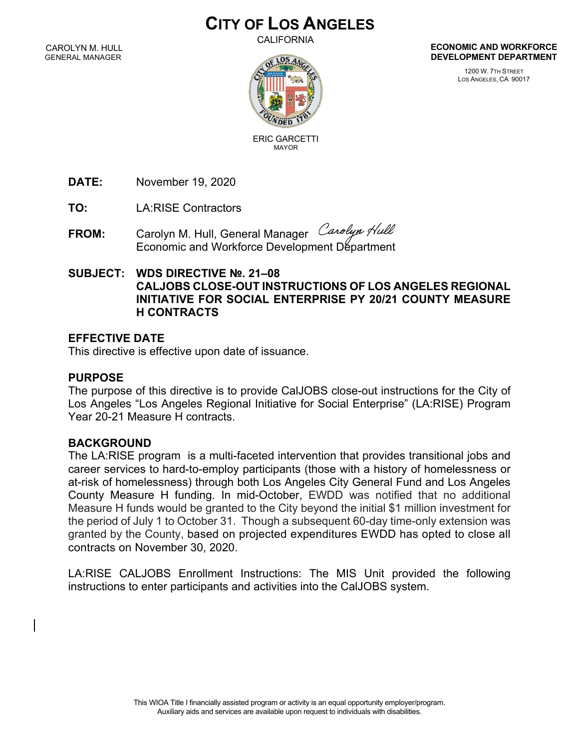# **CITY OF LOS ANGELES**

CALIFORNIA

CAROLYN M. HULL GENERAL MANAGER



**ECONOMIC AND WORKFORCE DEVELOPMENT DEPARTMENT**

> 1200 W. 7TH STREET LOS ANGELES, CA 90017

ERIC GARCETTI

**DATE:** November 19, 2020

**TO:** LA:RISE Contractors

FROM: Carolyn M. Hull, General Manager Carolyn Hull Economic and Workforce Development Department

#### **SUBJECT: WDS DIRECTIVE №. 21–08 CALJOBS CLOSE-OUT INSTRUCTIONS OF LOS ANGELES REGIONAL INITIATIVE FOR SOCIAL ENTERPRISE PY 20/21 COUNTY MEASURE H CONTRACTS**

## **EFFECTIVE DATE**

This directive is effective upon date of issuance.

### **PURPOSE**

The purpose of this directive is to provide CalJOBS close-out instructions for the City of Los Angeles "Los Angeles Regional Initiative for Social Enterprise" (LA:RISE) Program Year 20-21 Measure H contracts.

# **BACKGROUND**

The LA:RISE program is a multi-faceted intervention that provides transitional jobs and career services to hard-to-employ participants (those with a history of homelessness or at-risk of homelessness) through both Los Angeles City General Fund and Los Angeles County Measure H funding. In mid-October, EWDD was notified that no additional Measure H funds would be granted to the City beyond the initial \$1 million investment for the period of July 1 to October 31. Though a subsequent 60-day time-only extension was granted by the County, based on projected expenditures EWDD has opted to close all contracts on November 30, 2020.

LA:RISE CALJOBS Enrollment Instructions: The MIS Unit provided the following instructions to enter participants and activities into the CalJOBS system.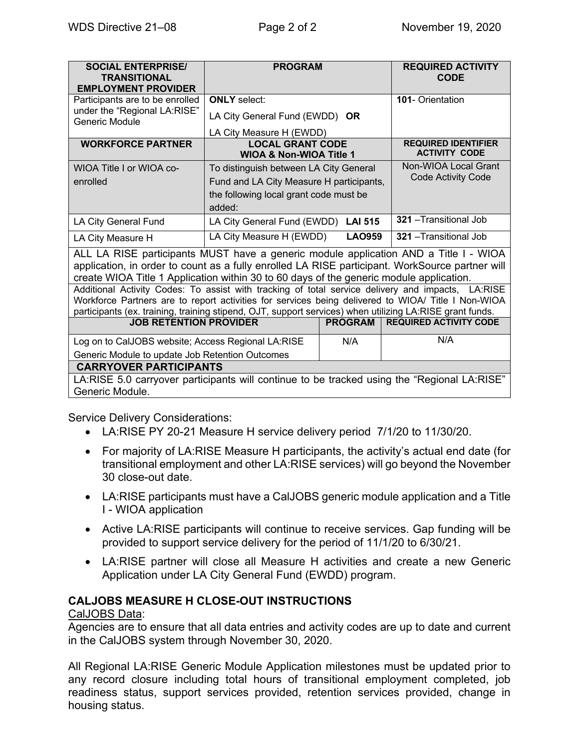| <b>SOCIAL ENTERPRISE/</b><br><b>TRANSITIONAL</b><br><b>EMPLOYMENT PROVIDER</b>                                                                                                                                                                                                                                      | <b>PROGRAM</b>                                                |                | <b>REQUIRED ACTIVITY</b><br><b>CODE</b>            |
|---------------------------------------------------------------------------------------------------------------------------------------------------------------------------------------------------------------------------------------------------------------------------------------------------------------------|---------------------------------------------------------------|----------------|----------------------------------------------------|
| Participants are to be enrolled                                                                                                                                                                                                                                                                                     | <b>ONLY</b> select:                                           |                | <b>101- Orientation</b>                            |
| under the "Regional LA:RISE"<br>Generic Module                                                                                                                                                                                                                                                                      | LA City General Fund (EWDD) OR                                |                |                                                    |
|                                                                                                                                                                                                                                                                                                                     | LA City Measure H (EWDD)                                      |                |                                                    |
| <b>WORKFORCE PARTNER</b>                                                                                                                                                                                                                                                                                            | <b>LOCAL GRANT CODE</b><br><b>WIOA &amp; Non-WIOA Title 1</b> |                | <b>REQUIRED IDENTIFIER</b><br><b>ACTIVITY CODE</b> |
| WIOA Title I or WIOA co-                                                                                                                                                                                                                                                                                            | To distinguish between LA City General                        |                | Non-WIOA Local Grant                               |
| enrolled                                                                                                                                                                                                                                                                                                            | Fund and LA City Measure H participants,                      |                | <b>Code Activity Code</b>                          |
|                                                                                                                                                                                                                                                                                                                     | the following local grant code must be                        |                |                                                    |
|                                                                                                                                                                                                                                                                                                                     | added:                                                        |                |                                                    |
| LA City General Fund                                                                                                                                                                                                                                                                                                | LA City General Fund (EWDD) LAI 515                           |                | 321 - Transitional Job                             |
| LA City Measure H                                                                                                                                                                                                                                                                                                   | LA City Measure H (EWDD)                                      | <b>LAO959</b>  | 321 - Transitional Job                             |
| ALL LA RISE participants MUST have a generic module application AND a Title I - WIOA<br>application, in order to count as a fully enrolled LA RISE participant. WorkSource partner will<br>create WIOA Title 1 Application within 30 to 60 days of the generic module application.                                  |                                                               |                |                                                    |
| Additional Activity Codes: To assist with tracking of total service delivery and impacts, LA:RISE<br>Workforce Partners are to report activities for services being delivered to WIOA/ Title I Non-WIOA<br>participants (ex. training, training stipend, OJT, support services) when utilizing LA:RISE grant funds. |                                                               |                |                                                    |
| <b>JOB RETENTION PROVIDER</b>                                                                                                                                                                                                                                                                                       |                                                               | <b>PROGRAM</b> | <b>REQUIRED ACTIVITY CODE</b>                      |
| Log on to CalJOBS website; Access Regional LA:RISE                                                                                                                                                                                                                                                                  |                                                               | N/A            | N/A                                                |
| Generic Module to update Job Retention Outcomes                                                                                                                                                                                                                                                                     |                                                               |                |                                                    |
| <b>CARRYOVER PARTICIPANTS</b>                                                                                                                                                                                                                                                                                       |                                                               |                |                                                    |
| LA:RISE 5.0 carryover participants will continue to be tracked using the "Regional LA:RISE"<br>Generic Module.                                                                                                                                                                                                      |                                                               |                |                                                    |

Service Delivery Considerations:

- LA:RISE PY 20-21 Measure H service delivery period 7/1/20 to 11/30/20.
- For majority of LA:RISE Measure H participants, the activity's actual end date (for transitional employment and other LA:RISE services) will go beyond the November 30 close-out date.
- LA:RISE participants must have a CalJOBS generic module application and a Title I - WIOA application
- Active LA:RISE participants will continue to receive services. Gap funding will be provided to support service delivery for the period of 11/1/20 to 6/30/21.
- LA:RISE partner will close all Measure H activities and create a new Generic Application under LA City General Fund (EWDD) program.

# **CALJOBS MEASURE H CLOSE-OUT INSTRUCTIONS**

#### CalJOBS Data:

Agencies are to ensure that all data entries and activity codes are up to date and current in the CalJOBS system through November 30, 2020.

All Regional LA:RISE Generic Module Application milestones must be updated prior to any record closure including total hours of transitional employment completed, job readiness status, support services provided, retention services provided, change in housing status.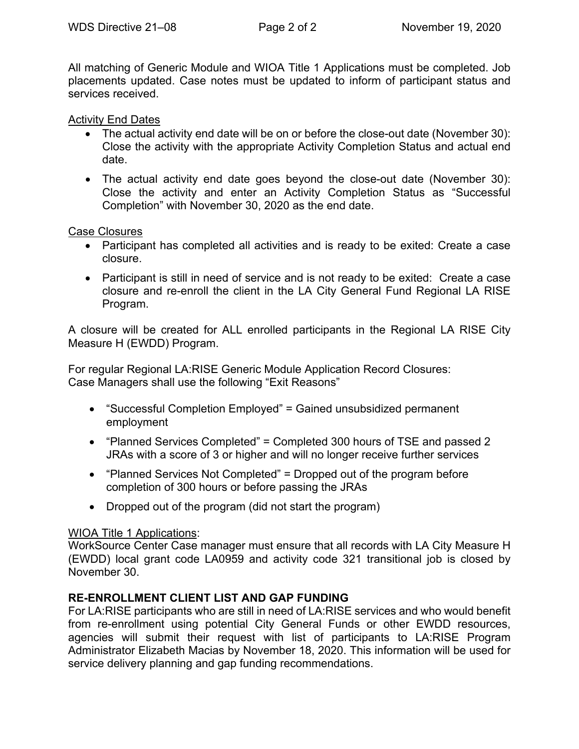All matching of Generic Module and WIOA Title 1 Applications must be completed. Job placements updated. Case notes must be updated to inform of participant status and services received.

## Activity End Dates

- The actual activity end date will be on or before the close-out date (November 30): Close the activity with the appropriate Activity Completion Status and actual end date.
- The actual activity end date goes beyond the close-out date (November 30): Close the activity and enter an Activity Completion Status as "Successful Completion" with November 30, 2020 as the end date.

Case Closures

- Participant has completed all activities and is ready to be exited: Create a case closure.
- Participant is still in need of service and is not ready to be exited: Create a case closure and re-enroll the client in the LA City General Fund Regional LA RISE Program.

A closure will be created for ALL enrolled participants in the Regional LA RISE City Measure H (EWDD) Program.

For regular Regional LA:RISE Generic Module Application Record Closures: Case Managers shall use the following "Exit Reasons"

- "Successful Completion Employed" = Gained unsubsidized permanent employment
- "Planned Services Completed" = Completed 300 hours of TSE and passed 2 JRAs with a score of 3 or higher and will no longer receive further services
- "Planned Services Not Completed" = Dropped out of the program before completion of 300 hours or before passing the JRAs
- Dropped out of the program (did not start the program)

#### WIOA Title 1 Applications:

WorkSource Center Case manager must ensure that all records with LA City Measure H (EWDD) local grant code LA0959 and activity code 321 transitional job is closed by November 30.

# **RE-ENROLLMENT CLIENT LIST AND GAP FUNDING**

For LA:RISE participants who are still in need of LA:RISE services and who would benefit from re-enrollment using potential City General Funds or other EWDD resources, agencies will submit their request with list of participants to LA:RISE Program Administrator Elizabeth Macias by November 18, 2020. This information will be used for service delivery planning and gap funding recommendations.